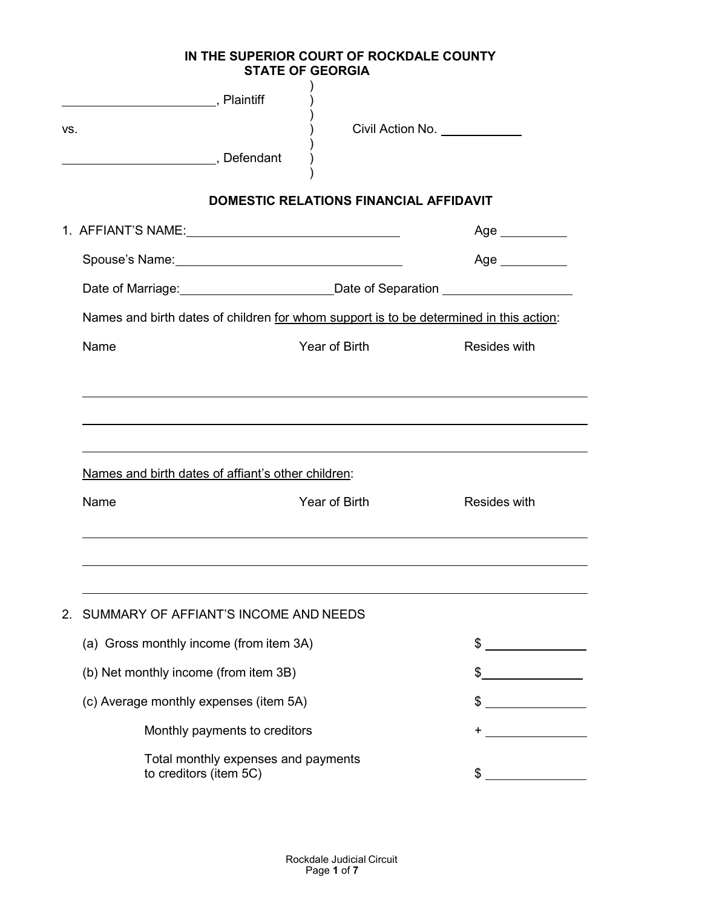**IN THE SUPERIOR COURT OF ROCKDALE COUNTY STATE OF GEORGIA**

| VS.                                                                                    |                                                                                        | Civil Action No. <u>______________</u> |                |
|----------------------------------------------------------------------------------------|----------------------------------------------------------------------------------------|----------------------------------------|----------------|
| Defendant continued by Defendant                                                       |                                                                                        |                                        |                |
|                                                                                        | <b>DOMESTIC RELATIONS FINANCIAL AFFIDAVIT</b>                                          |                                        |                |
|                                                                                        |                                                                                        |                                        | Age __________ |
|                                                                                        |                                                                                        |                                        | $Age \_$       |
|                                                                                        | Date of Marriage: __________________________Date of Separation _________________       |                                        |                |
|                                                                                        | Names and birth dates of children for whom support is to be determined in this action: |                                        |                |
| Name                                                                                   | Year of Birth                                                                          |                                        | Resides with   |
|                                                                                        | Names and birth dates of affiant's other children:                                     |                                        |                |
| Name                                                                                   | Year of Birth                                                                          |                                        | Resides with   |
|                                                                                        |                                                                                        |                                        |                |
| SUMMARY OF AFFIANT'S INCOME AND NEEDS<br>2.<br>(a) Gross monthly income (from item 3A) |                                                                                        |                                        | \$             |
|                                                                                        |                                                                                        |                                        |                |
| (b) Net monthly income (from item 3B)                                                  |                                                                                        |                                        | \$             |
|                                                                                        | (c) Average monthly expenses (item 5A)                                                 |                                        | $\frac{1}{2}$  |
|                                                                                        | Monthly payments to creditors                                                          |                                        |                |
| to creditors (item 5C)                                                                 | Total monthly expenses and payments                                                    |                                        |                |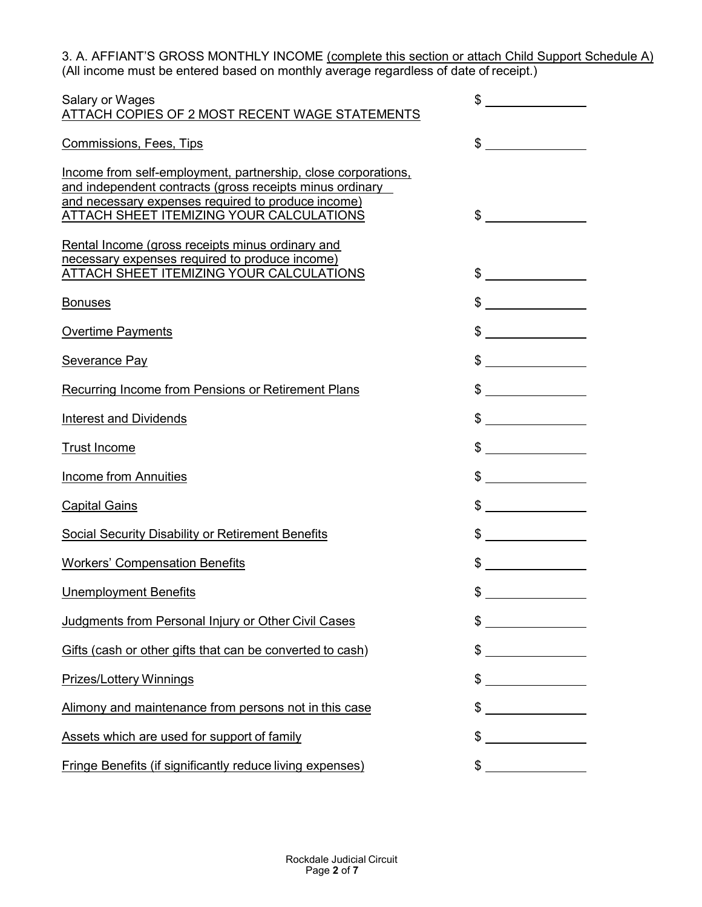3. A. AFFIANT'S GROSS MONTHLY INCOME <u>(complete this section or attach Child Support Schedule A)</u> (All income must be entered based on monthly average regardless of date of receipt.)

| Salary or Wages<br>ATTACH COPIES OF 2 MOST RECENT WAGE STATEMENTS                                                                                                                                                           | \$                                                                                                                                                                                                                                                                                                                                                                                                                                                                                                    |
|-----------------------------------------------------------------------------------------------------------------------------------------------------------------------------------------------------------------------------|-------------------------------------------------------------------------------------------------------------------------------------------------------------------------------------------------------------------------------------------------------------------------------------------------------------------------------------------------------------------------------------------------------------------------------------------------------------------------------------------------------|
| <b>Commissions, Fees, Tips</b>                                                                                                                                                                                              | $\mathbb{S}$                                                                                                                                                                                                                                                                                                                                                                                                                                                                                          |
| Income from self-employment, partnership, close corporations,<br>and independent contracts (gross receipts minus ordinary<br>and necessary expenses required to produce income)<br>ATTACH SHEET ITEMIZING YOUR CALCULATIONS | $\sim$                                                                                                                                                                                                                                                                                                                                                                                                                                                                                                |
| Rental Income (gross receipts minus ordinary and<br>necessary expenses required to produce income)<br><b>ATTACH SHEET ITEMIZING YOUR CALCULATIONS</b>                                                                       |                                                                                                                                                                                                                                                                                                                                                                                                                                                                                                       |
| <b>Bonuses</b>                                                                                                                                                                                                              |                                                                                                                                                                                                                                                                                                                                                                                                                                                                                                       |
| <b>Overtime Payments</b>                                                                                                                                                                                                    | $\frac{1}{2}$                                                                                                                                                                                                                                                                                                                                                                                                                                                                                         |
| Severance Pay                                                                                                                                                                                                               | $\frac{1}{2}$                                                                                                                                                                                                                                                                                                                                                                                                                                                                                         |
| <b>Recurring Income from Pensions or Retirement Plans</b>                                                                                                                                                                   |                                                                                                                                                                                                                                                                                                                                                                                                                                                                                                       |
| <b>Interest and Dividends</b>                                                                                                                                                                                               | $\frac{1}{2}$                                                                                                                                                                                                                                                                                                                                                                                                                                                                                         |
| <b>Trust Income</b>                                                                                                                                                                                                         | $\frac{1}{2}$                                                                                                                                                                                                                                                                                                                                                                                                                                                                                         |
| <b>Income from Annuities</b>                                                                                                                                                                                                | $\frac{1}{2}$                                                                                                                                                                                                                                                                                                                                                                                                                                                                                         |
| <b>Capital Gains</b>                                                                                                                                                                                                        | $\frac{1}{2}$                                                                                                                                                                                                                                                                                                                                                                                                                                                                                         |
| <b>Social Security Disability or Retirement Benefits</b>                                                                                                                                                                    | $\sim$                                                                                                                                                                                                                                                                                                                                                                                                                                                                                                |
| <b>Workers' Compensation Benefits</b>                                                                                                                                                                                       |                                                                                                                                                                                                                                                                                                                                                                                                                                                                                                       |
| <b>Unemployment Benefits</b>                                                                                                                                                                                                |                                                                                                                                                                                                                                                                                                                                                                                                                                                                                                       |
| Judgments from Personal Injury or Other Civil Cases                                                                                                                                                                         | \$                                                                                                                                                                                                                                                                                                                                                                                                                                                                                                    |
| Gifts (cash or other gifts that can be converted to cash)                                                                                                                                                                   | \$                                                                                                                                                                                                                                                                                                                                                                                                                                                                                                    |
| <b>Prizes/Lottery Winnings</b>                                                                                                                                                                                              | $\begin{tabular}{c} \multicolumn{2}{c} {\textbf{1}} & \multicolumn{2}{c} {\textbf{1}} & \multicolumn{2}{c} {\textbf{1}} \\ \multicolumn{2}{c} {\textbf{2}} & \multicolumn{2}{c} {\textbf{3}} & \multicolumn{2}{c} {\textbf{4}} \\ \multicolumn{2}{c} {\textbf{4}} & \multicolumn{2}{c} {\textbf{5}} & \multicolumn{2}{c} {\textbf{6}} \\ \multicolumn{2}{c} {\textbf{5}} & \multicolumn{2}{c} {\textbf{6}} & \multicolumn{2}{c} {\textbf{6}} \\ \multicolumn{2}{c} {\textbf{1}} & \multicolumn$<br>\$ |
| Alimony and maintenance from persons not in this case                                                                                                                                                                       |                                                                                                                                                                                                                                                                                                                                                                                                                                                                                                       |
| Assets which are used for support of family                                                                                                                                                                                 | $\frac{1}{2}$                                                                                                                                                                                                                                                                                                                                                                                                                                                                                         |
| <b>Fringe Benefits (if significantly reduce living expenses)</b>                                                                                                                                                            | $\frac{1}{2}$                                                                                                                                                                                                                                                                                                                                                                                                                                                                                         |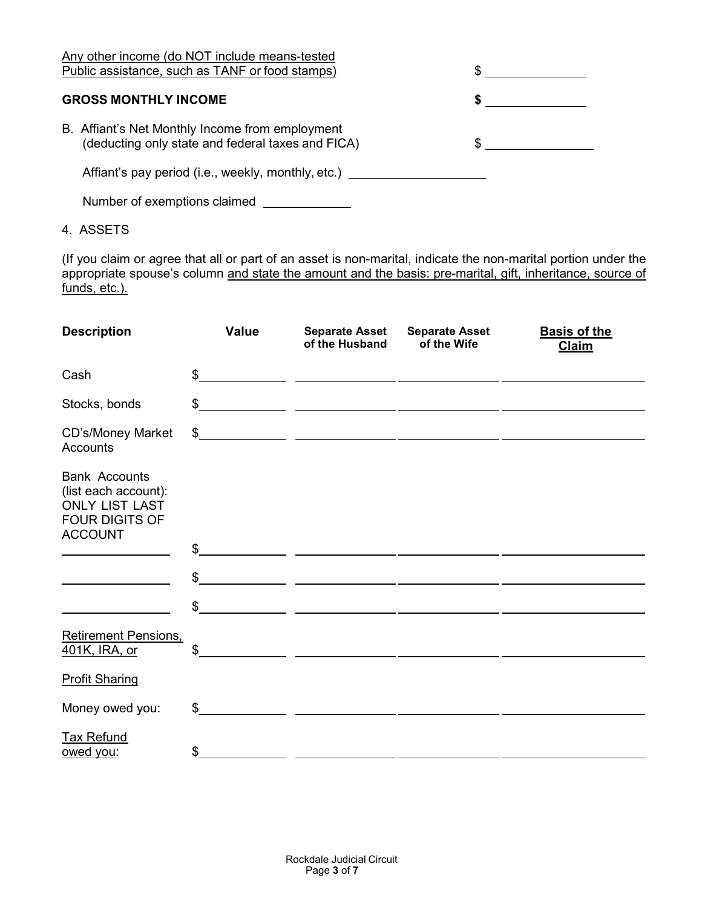| Any other income (do NOT include means-tested<br>Public assistance, such as TANF or food stamps)     |  |
|------------------------------------------------------------------------------------------------------|--|
|                                                                                                      |  |
| <b>GROSS MONTHLY INCOME</b>                                                                          |  |
| B. Affiant's Net Monthly Income from employment<br>(deducting only state and federal taxes and FICA) |  |
| Affiant's pay period (i.e., weekly, monthly, etc.)                                                   |  |
| Number of exemptions claimed                                                                         |  |

4. ASSETS

(If you claim or agree that all or part of an asset is non-marital, indicate the non-marital portion under the appropriate spouse's column <u>and state the amount and the basis: pre-marital, gift, inheritance, source of</u> funds, etc.).

| <b>Description</b>                                                                                               | <b>Value</b>   | <b>Separate Asset</b><br>of the Husband                                                                               | <b>Separate Asset</b><br>of the Wife | <b>Basis of the</b><br><b>Claim</b> |
|------------------------------------------------------------------------------------------------------------------|----------------|-----------------------------------------------------------------------------------------------------------------------|--------------------------------------|-------------------------------------|
| Cash                                                                                                             | \$             |                                                                                                                       |                                      |                                     |
| Stocks, bonds                                                                                                    | \$             | <u> 1989 - Johann John Stone, mars eta biztanleria (h. 1989).</u>                                                     |                                      |                                     |
| CD's/Money Market<br><b>Accounts</b>                                                                             |                |                                                                                                                       |                                      |                                     |
| <b>Bank Accounts</b><br>(list each account):<br><b>ONLY LIST LAST</b><br><b>FOUR DIGITS OF</b><br><b>ACCOUNT</b> |                |                                                                                                                       |                                      |                                     |
|                                                                                                                  | \$             |                                                                                                                       |                                      |                                     |
|                                                                                                                  | $\mathbb{S}$   |                                                                                                                       |                                      |                                     |
|                                                                                                                  | \$             |                                                                                                                       |                                      |                                     |
| <b>Retirement Pensions,</b><br>401K, IRA, or                                                                     | \$             | <u> 1980 - Johann Stein, mars an deutscher Stein († 1908)</u>                                                         |                                      |                                     |
| <b>Profit Sharing</b>                                                                                            |                |                                                                                                                       |                                      |                                     |
| Money owed you:                                                                                                  | $\mathbb{S}^-$ |                                                                                                                       |                                      |                                     |
| <b>Tax Refund</b><br>owed you:                                                                                   | \$             | <u> 1989 - Johann Harry Harry Harry Harry Harry Harry Harry Harry Harry Harry Harry Harry Harry Harry Harry Harry</u> |                                      |                                     |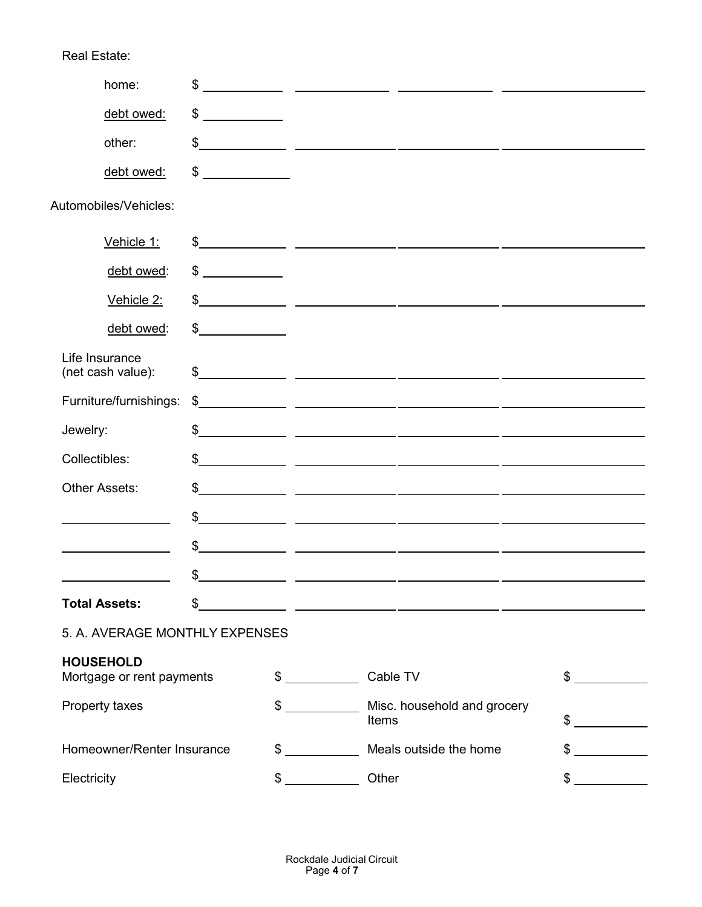| home:                                         | \$                                                                                                                          |               |                                                                                                                                                                                                                                                                                                                     |        |
|-----------------------------------------------|-----------------------------------------------------------------------------------------------------------------------------|---------------|---------------------------------------------------------------------------------------------------------------------------------------------------------------------------------------------------------------------------------------------------------------------------------------------------------------------|--------|
| debt owed:                                    | \$<br><u> a shekara ta 1999 a shekara ta 1991 a shekara ta 1991 a shekara ta 1991 a shekara ta 1991 a shekara ta 1991 a</u> |               |                                                                                                                                                                                                                                                                                                                     |        |
| other:                                        |                                                                                                                             |               | $\frac{1}{2}$                                                                                                                                                                                                                                                                                                       |        |
| debt owed:                                    | \$<br><u> a shekara ta 1999 a shekara t</u>                                                                                 |               |                                                                                                                                                                                                                                                                                                                     |        |
| Automobiles/Vehicles:                         |                                                                                                                             |               |                                                                                                                                                                                                                                                                                                                     |        |
| Vehicle 1:                                    |                                                                                                                             |               | $\frac{1}{2}$ $\frac{1}{2}$ $\frac{1}{2}$ $\frac{1}{2}$ $\frac{1}{2}$ $\frac{1}{2}$ $\frac{1}{2}$ $\frac{1}{2}$ $\frac{1}{2}$ $\frac{1}{2}$ $\frac{1}{2}$ $\frac{1}{2}$ $\frac{1}{2}$ $\frac{1}{2}$ $\frac{1}{2}$ $\frac{1}{2}$ $\frac{1}{2}$ $\frac{1}{2}$ $\frac{1}{2}$ $\frac{1}{2}$ $\frac{1}{2}$ $\frac{1}{2}$ |        |
| debt owed:                                    | $\frac{1}{2}$                                                                                                               |               |                                                                                                                                                                                                                                                                                                                     |        |
| Vehicle 2:                                    |                                                                                                                             |               |                                                                                                                                                                                                                                                                                                                     |        |
| debt owed:                                    | $\frac{1}{2}$                                                                                                               |               |                                                                                                                                                                                                                                                                                                                     |        |
| Life Insurance<br>(net cash value):           |                                                                                                                             |               | $\frac{1}{2}$                                                                                                                                                                                                                                                                                                       |        |
| Furniture/furnishings:                        |                                                                                                                             |               | $\frac{1}{2}$                                                                                                                                                                                                                                                                                                       |        |
| Jewelry:                                      |                                                                                                                             |               | $\frac{1}{2}$                                                                                                                                                                                                                                                                                                       |        |
| Collectibles:                                 |                                                                                                                             |               | $\frac{1}{2}$                                                                                                                                                                                                                                                                                                       |        |
| <b>Other Assets:</b>                          |                                                                                                                             |               | $\frac{1}{2}$                                                                                                                                                                                                                                                                                                       |        |
|                                               |                                                                                                                             |               | $\frac{1}{2}$                                                                                                                                                                                                                                                                                                       |        |
|                                               |                                                                                                                             |               | $\frac{1}{2}$ $\frac{1}{2}$ $\frac{1}{2}$ $\frac{1}{2}$ $\frac{1}{2}$ $\frac{1}{2}$ $\frac{1}{2}$ $\frac{1}{2}$ $\frac{1}{2}$ $\frac{1}{2}$ $\frac{1}{2}$ $\frac{1}{2}$ $\frac{1}{2}$ $\frac{1}{2}$ $\frac{1}{2}$ $\frac{1}{2}$ $\frac{1}{2}$ $\frac{1}{2}$ $\frac{1}{2}$ $\frac{1}{2}$ $\frac{1}{2}$ $\frac{1}{2}$ |        |
|                                               |                                                                                                                             |               | $\frac{1}{2}$ $\frac{1}{2}$ $\frac{1}{2}$ $\frac{1}{2}$ $\frac{1}{2}$ $\frac{1}{2}$ $\frac{1}{2}$ $\frac{1}{2}$ $\frac{1}{2}$ $\frac{1}{2}$ $\frac{1}{2}$ $\frac{1}{2}$ $\frac{1}{2}$ $\frac{1}{2}$ $\frac{1}{2}$ $\frac{1}{2}$ $\frac{1}{2}$ $\frac{1}{2}$ $\frac{1}{2}$ $\frac{1}{2}$ $\frac{1}{2}$ $\frac{1}{2}$ |        |
| <b>Total Assets:</b>                          | \$                                                                                                                          |               | <u> 1980 - Andrea Andrew Amerikaanse kommunister († 1901)</u>                                                                                                                                                                                                                                                       |        |
| 5. A. AVERAGE MONTHLY EXPENSES                |                                                                                                                             |               |                                                                                                                                                                                                                                                                                                                     |        |
| <b>HOUSEHOLD</b><br>Mortgage or rent payments |                                                                                                                             | $\mathbb{S}$  | Cable TV                                                                                                                                                                                                                                                                                                            | $\sim$ |
| Property taxes                                |                                                                                                                             | \$            | Misc. household and grocery<br>Items                                                                                                                                                                                                                                                                                | \$     |
| Homeowner/Renter Insurance                    |                                                                                                                             | \$            | Meals outside the home                                                                                                                                                                                                                                                                                              | \$     |
| Electricity                                   |                                                                                                                             | $\frac{1}{2}$ | Other                                                                                                                                                                                                                                                                                                               | $\sim$ |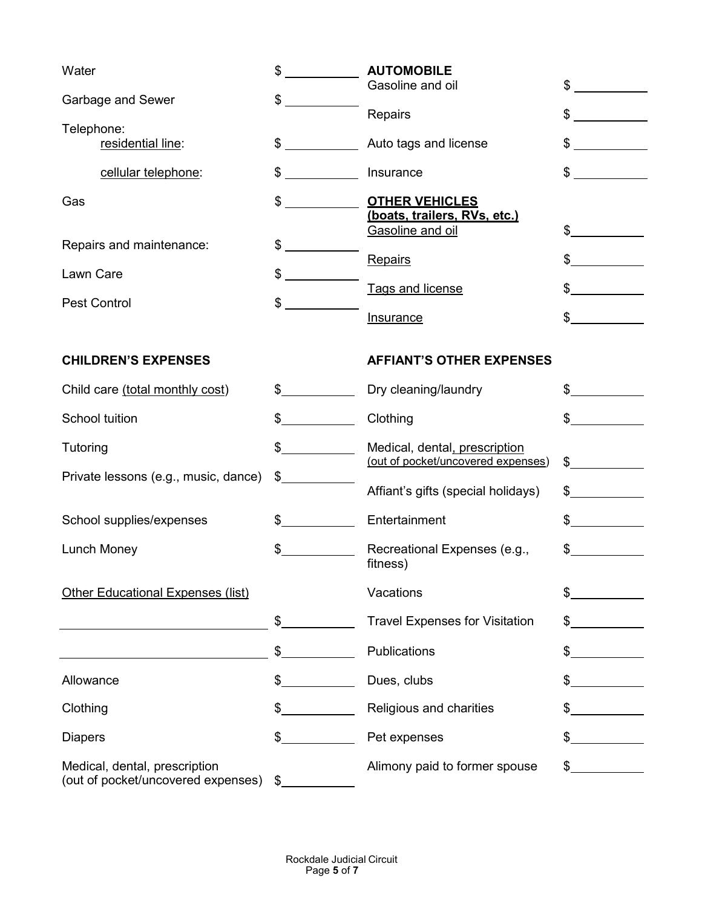| Water                                                               | \$            | <b>AUTOMOBILE</b>                                |               |
|---------------------------------------------------------------------|---------------|--------------------------------------------------|---------------|
| Garbage and Sewer                                                   | \$            | Gasoline and oil                                 | \$            |
|                                                                     |               | Repairs                                          | $\mathbb S$   |
| Telephone:<br>residential line:                                     | $\sim$        | Auto tags and license                            | $\mathbb{S}$  |
| cellular telephone:                                                 | $\sim$        | Insurance                                        | $\mathbb{S}$  |
| Gas                                                                 | $\mathbb{S}$  | <b>OTHER VEHICLES</b>                            |               |
|                                                                     |               | (boats, trailers, RVs, etc.)<br>Gasoline and oil | \$            |
| Repairs and maintenance:                                            | \$            |                                                  |               |
| Lawn Care                                                           | \$            | Repairs                                          | \$            |
| <b>Pest Control</b>                                                 | \$            | Tags and license                                 |               |
|                                                                     |               | <b>Insurance</b>                                 |               |
|                                                                     |               |                                                  |               |
| <b>CHILDREN'S EXPENSES</b>                                          |               | <b>AFFIANT'S OTHER EXPENSES</b>                  |               |
| Child care (total monthly cost)                                     | $\sim$        | Dry cleaning/laundry                             | \$            |
| School tuition                                                      |               | Clothing                                         | \$            |
| Tutoring                                                            | $\frac{1}{2}$ | Medical, dental, prescription                    |               |
| Private lessons (e.g., music, dance)                                | \$            | (out of pocket/uncovered expenses)               | $\mathsf S$   |
|                                                                     |               | Affiant's gifts (special holidays)               | $\frac{1}{2}$ |
| School supplies/expenses                                            | $\mathbb{S}$  | Entertainment                                    | $\sim$        |
| Lunch Money                                                         | $\frac{1}{2}$ | Recreational Expenses (e.g.,                     | $\mathbb{S}$  |
|                                                                     |               | fitness)                                         |               |
| <b>Other Educational Expenses (list)</b>                            |               | Vacations                                        | \$            |
|                                                                     | $\frac{1}{2}$ | <b>Travel Expenses for Visitation</b>            | \$            |
|                                                                     |               | Publications                                     | \$            |
| Allowance                                                           | $^{\circ}$    | Dues, clubs                                      |               |
| Clothing                                                            |               | Religious and charities                          |               |
| <b>Diapers</b>                                                      | $\mathbb{S}$  | Pet expenses                                     | \$            |
| Medical, dental, prescription<br>(out of pocket/uncovered expenses) | $\frac{1}{2}$ | Alimony paid to former spouse                    | $\frac{1}{2}$ |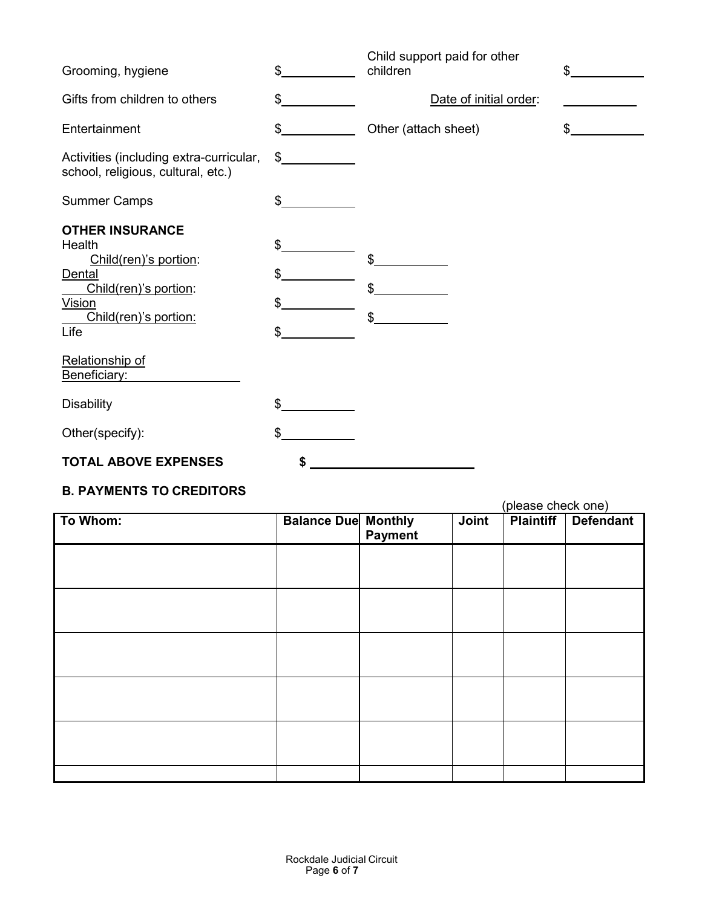| Grooming, hygiene                                                                                                                                                                 | \$                   | Child support paid for other<br>children | \$               |
|-----------------------------------------------------------------------------------------------------------------------------------------------------------------------------------|----------------------|------------------------------------------|------------------|
| Gifts from children to others                                                                                                                                                     | \$                   | Date of initial order:                   |                  |
| Entertainment                                                                                                                                                                     | \$                   | Other (attach sheet)                     | $\mathfrak{S}^-$ |
| Activities (including extra-curricular,<br>school, religious, cultural, etc.)                                                                                                     | $\frac{1}{2}$        |                                          |                  |
| <b>Summer Camps</b>                                                                                                                                                               | \$                   |                                          |                  |
| <b>OTHER INSURANCE</b><br>Health<br>Child(ren)'s portion:<br><b>Dental</b><br>Child(ren)'s portion:<br>Vision<br>Child(ren)'s portion:<br>Life<br>Relationship of<br>Beneficiary: | \$<br>\$<br>\$<br>\$ | \$<br>\$<br>\$                           |                  |
| <b>Disability</b>                                                                                                                                                                 | \$                   |                                          |                  |
| Other(specify):                                                                                                                                                                   | \$                   |                                          |                  |
| <b>TOTAL ABOVE EXPENSES</b>                                                                                                                                                       | \$                   |                                          |                  |

## **B. PAYMENTS TO CREDITORS**

|          |                            |         | (please check one) |                  |                  |
|----------|----------------------------|---------|--------------------|------------------|------------------|
| To Whom: | <b>Balance Due Monthly</b> | Payment | Joint              | <b>Plaintiff</b> | <b>Defendant</b> |
|          |                            |         |                    |                  |                  |
|          |                            |         |                    |                  |                  |
|          |                            |         |                    |                  |                  |
|          |                            |         |                    |                  |                  |
|          |                            |         |                    |                  |                  |
|          |                            |         |                    |                  |                  |
|          |                            |         |                    |                  |                  |